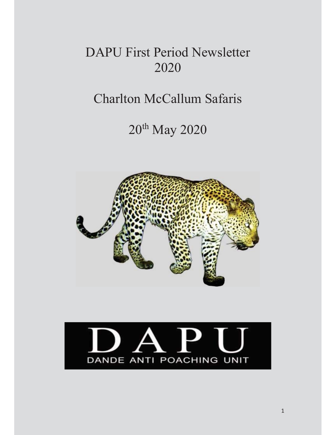# DAPU First Period Newsletter 2020

# Charlton McCallum Safaris

# 20th May 2020



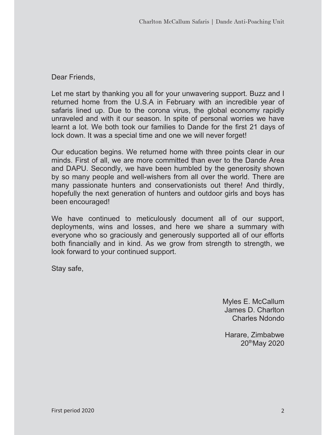## Dear Friends,

Let me start by thanking you all for your unwavering support. Buzz and I returned home from the U.S.A in February with an incredible year of safaris lined up. Due to the corona virus, the global economy rapidly unraveled and with it our season. In spite of personal worries we have learnt a lot. We both took our families to Dande for the first 21 days of lock down. It was a special time and one we will never forget!

Our education begins. We returned home with three points clear in our minds. First of all, we are more committed than ever to the Dande Area and DAPU. Secondly, we have been humbled by the generosity shown by so many people and well-wishers from all over the world. There are many passionate hunters and conservationists out there! And thirdly, hopefully the next generation of hunters and outdoor girls and boys has been encouraged!

We have continued to meticulously document all of our support, deployments, wins and losses, and here we share a summary with everyone who so graciously and generously supported all of our efforts both financially and in kind. As we grow from strength to strength, we look forward to your continued support.

Stay safe,

Myles E. McCallum James D. Charlton Charles Ndondo

Harare, Zimbabwe 20thMay 2020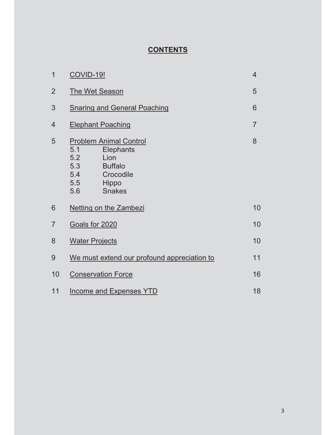# **CONTENTS**

| 1              | <b>COVID-19!</b>                                                                                                                                             |   |  |  |  |
|----------------|--------------------------------------------------------------------------------------------------------------------------------------------------------------|---|--|--|--|
| $\overline{2}$ | <b>The Wet Season</b>                                                                                                                                        |   |  |  |  |
| 3              | <b>Snaring and General Poaching</b>                                                                                                                          |   |  |  |  |
| $\overline{4}$ | <b>Elephant Poaching</b>                                                                                                                                     |   |  |  |  |
| 5              | <b>Problem Animal Control</b><br>5.1<br>Elephants<br>5.2<br>Lion<br>5.3<br><b>Buffalo</b><br>5.4<br>Crocodile<br>5.5<br><b>Hippo</b><br><b>Snakes</b><br>5.6 | 8 |  |  |  |
| 6              | <b>Netting on the Zambezi</b>                                                                                                                                |   |  |  |  |
| $\overline{7}$ | Goals for 2020                                                                                                                                               |   |  |  |  |
| 8              | <b>Water Projects</b>                                                                                                                                        |   |  |  |  |
| 9              | We must extend our profound appreciation to                                                                                                                  |   |  |  |  |
| 10             | <b>Conservation Force</b>                                                                                                                                    |   |  |  |  |
| 11             | <b>Income and Expenses YTD</b>                                                                                                                               |   |  |  |  |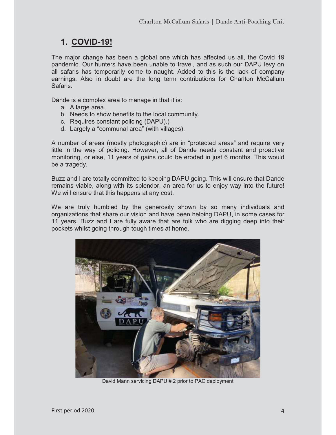## **1. COVID-19!**

The major change has been a global one which has affected us all, the Covid 19 pandemic. Our hunters have been unable to travel, and as such our DAPU levy on all safaris has temporarily come to naught. Added to this is the lack of company earnings. Also in doubt are the long term contributions for Charlton McCallum Safaris.

Dande is a complex area to manage in that it is:

- a. A large area.
- b. Needs to show benefits to the local community.
- c. Requires constant policing (DAPU).)
- d. Largely a "communal area" (with villages).

A number of areas (mostly photographic) are in "protected areas" and require very little in the way of policing. However, all of Dande needs constant and proactive monitoring, or else, 11 years of gains could be eroded in just 6 months. This would be a tragedy.

Buzz and I are totally committed to keeping DAPU going. This will ensure that Dande remains viable, along with its splendor, an area for us to enjoy way into the future! We will ensure that this happens at any cost.

We are truly humbled by the generosity shown by so many individuals and organizations that share our vision and have been helping DAPU, in some cases for 11 years. Buzz and I are fully aware that are folk who are digging deep into their pockets whilst going through tough times at home.



David Mann servicing DAPU # 2 prior to PAC deployment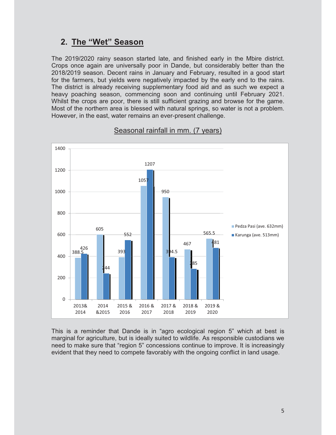## **2. The "Wet" Season**

The 2019/2020 rainy season started late, and finished early in the Mbire district. Crops once again are universally poor in Dande, but considerably better than the 2018/2019 season. Decent rains in January and February, resulted in a good start for the farmers, but yields were negatively impacted by the early end to the rains. The district is already receiving supplementary food aid and as such we expect a heavy poaching season, commencing soon and continuing until February 2021. Whilst the crops are poor, there is still sufficient grazing and browse for the game. Most of the northern area is blessed with natural springs, so water is not a problem. However, in the east, water remains an ever-present challenge.



## Seasonal rainfall in mm. (7 years)

This is a reminder that Dande is in "agro ecological region 5" which at best is marginal for agriculture, but is ideally suited to wildlife. As responsible custodians we need to make sure that "region 5" concessions continue to improve. It is increasingly evident that they need to compete favorably with the ongoing conflict in land usage.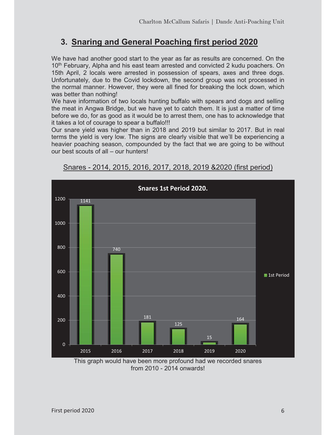## **3. Snaring and General Poaching first period 2020**

We have had another good start to the year as far as results are concerned. On the 10<sup>th</sup> February, Alpha and his east team arrested and convicted 2 kudu poachers. On 15th April, 2 locals were arrested in possession of spears, axes and three dogs. Unfortunately, due to the Covid lockdown, the second group was not processed in the normal manner. However, they were all fined for breaking the lock down, which was better than nothing!

We have information of two locals hunting buffalo with spears and dogs and selling the meat in Angwa Bridge, but we have yet to catch them. It is just a matter of time before we do, for as good as it would be to arrest them, one has to acknowledge that it takes a lot of courage to spear a buffalo!!!

Our snare yield was higher than in 2018 and 2019 but similar to 2017. But in real terms the yield is very low. The signs are clearly visible that we'll be experiencing a heavier poaching season, compounded by the fact that we are going to be without our best scouts of all – our hunters!



Snares - 2014, 2015, 2016, 2017, 2018, 2019 &2020 (first period)

This graph would have been more profound had we recorded snares from 2010 - 2014 onwards!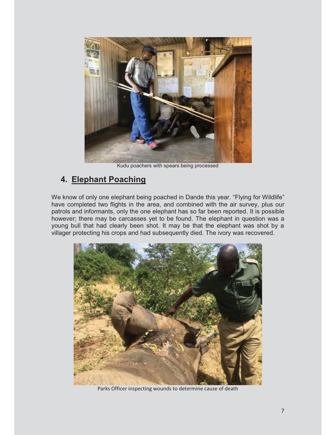

Kudu poachers with spears being processed

## **4. Elephant Poaching**

We know of only one elephant being poached in Dande this year. "Flying for Wildlife" have completed two flights in the area, and combined with the air survey, plus our patrols and informants, only the one elephant has so far been reported. It is possible however; there may be carcasses yet to be found. The elephant in question was a young bull that had clearly been shot. It may be that the elephant was shot by a villager protecting his crops and had subsequently died. The ivory was recovered.



Parks Officer inspecting wounds to determine cause of death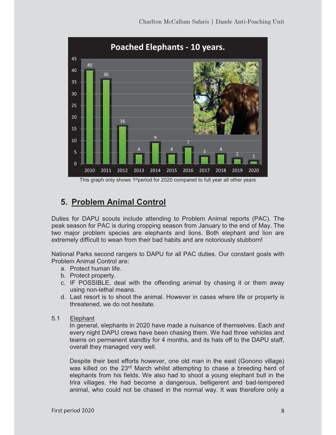

# **5. Problem Animal Control**

Duties for DAPU scouts include attending to Problem Animal reports (PAC). The peak season for PAC is during cropping season from January to the end of May. The two major problem species are elephants and lions. Both elephant and lion are extremely difficult to wean from their bad habits and are notoriously stubborn!

National Parks second rangers to DAPU for all PAC duties. Our constant goals with Problem Animal Control are:

- a. Protect human life.
- b. Protect property.
- c. IF POSSIBLE, deal with the offending animal by chasing it or them away using non-lethal means.
- d. Last resort is to shoot the animal. However in cases where life or property is threatened, we do not hesitate.
- 5.1 Elephant

In general, elephants in 2020 have made a nuisance of themselves. Each and every night DAPU crews have been chasing them. We had three vehicles and teams on permanent standby for 4 months, and its hats off to the DAPU staff, overall they managed very well.

Despite their best efforts however, one old man in the east (Gonono village) was killed on the 23<sup>rd</sup> March whilst attempting to chase a breeding herd of elephants from his fields. We also had to shoot a young elephant bull in the Irira villages. He had become a dangerous, belligerent and bad-tempered animal, who could not be chased in the normal way. It was therefore only a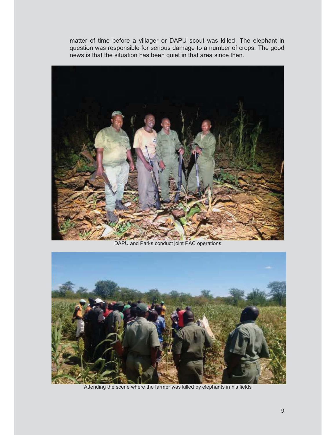matter of time before a villager or DAPU scout was killed. The elephant in question was responsible for serious damage to a number of crops. The good news is that the situation has been quiet in that area since then.



DAPU and Parks conduct joint PAC operations



Attending the scene where the farmer was killed by elephants in his fields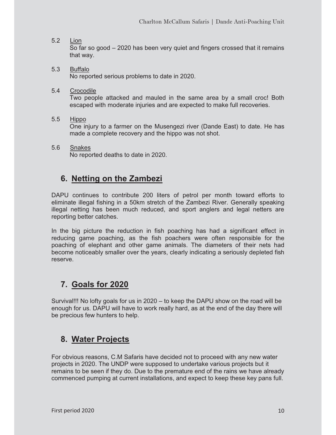## 5.2 Lion

So far so good – 2020 has been very quiet and fingers crossed that it remains that way.

- 5.3 Buffalo No reported serious problems to date in 2020.
- 5.4 Crocodile

Two people attacked and mauled in the same area by a small croc! Both escaped with moderate injuries and are expected to make full recoveries.

5.5 Hippo

One injury to a farmer on the Musengezi river (Dande East) to date. He has made a complete recovery and the hippo was not shot.

5.6 Snakes No reported deaths to date in 2020.

## **6. Netting on the Zambezi**

DAPU continues to contribute 200 liters of petrol per month toward efforts to eliminate illegal fishing in a 50km stretch of the Zambezi River. Generally speaking illegal netting has been much reduced, and sport anglers and legal netters are reporting better catches.

In the big picture the reduction in fish poaching has had a significant effect in reducing game poaching, as the fish poachers were often responsible for the poaching of elephant and other game animals. The diameters of their nets had become noticeably smaller over the years, clearly indicating a seriously depleted fish reserve.

## **7. Goals for 2020**

Survival!!! No lofty goals for us in 2020 – to keep the DAPU show on the road will be enough for us. DAPU will have to work really hard, as at the end of the day there will be precious few hunters to help.

## **8. Water Projects**

For obvious reasons, C.M Safaris have decided not to proceed with any new water projects in 2020. The UNDP were supposed to undertake various projects but it remains to be seen if they do. Due to the premature end of the rains we have already commenced pumping at current installations, and expect to keep these key pans full.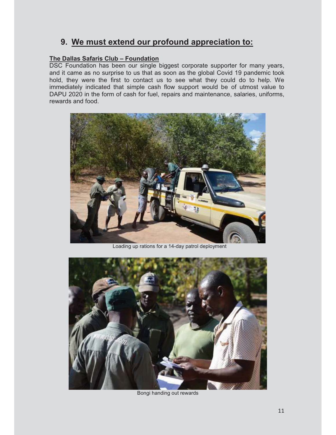## **9. We must extend our profound appreciation to:**

#### **The Dallas Safaris Club – Foundation**

DSC Foundation has been our single biggest corporate supporter for many years, and it came as no surprise to us that as soon as the global Covid 19 pandemic took hold, they were the first to contact us to see what they could do to help. We immediately indicated that simple cash flow support would be of utmost value to DAPU 2020 in the form of cash for fuel, repairs and maintenance, salaries, uniforms, rewards and food.



Loading up rations for a 14-day patrol deployment



Bongi handing out rewards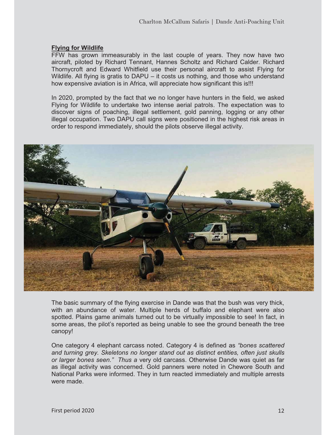#### **Flying for Wildlife**

FFW has grown immeasurably in the last couple of years. They now have two aircraft, piloted by Richard Tennant, Hannes Scholtz and Richard Calder. Richard Thornycroft and Edward Whitfield use their personal aircraft to assist Flying for Wildlife. All flying is gratis to DAPU – it costs us nothing, and those who understand how expensive aviation is in Africa, will appreciate how significant this is!!!

In 2020, prompted by the fact that we no longer have hunters in the field, we asked Flying for Wildlife to undertake two intense aerial patrols. The expectation was to discover signs of poaching, illegal settlement, gold panning, logging or any other illegal occupation. Two DAPU call signs were positioned in the highest risk areas in order to respond immediately, should the pilots observe illegal activity.



The basic summary of the flying exercise in Dande was that the bush was very thick, with an abundance of water. Multiple herds of buffalo and elephant were also spotted. Plains game animals turned out to be virtually impossible to see! In fact, in some areas, the pilot's reported as being unable to see the ground beneath the tree canopy!

One category 4 elephant carcass noted. Category 4 is defined as *"bones scattered and turning grey. Skeletons no longer stand out as distinct entities, often just skulls or larger bones seen." Thus a* very old carcass. Otherwise Dande was quiet as far as illegal activity was concerned. Gold panners were noted in Chewore South and National Parks were informed. They in turn reacted immediately and multiple arrests were made.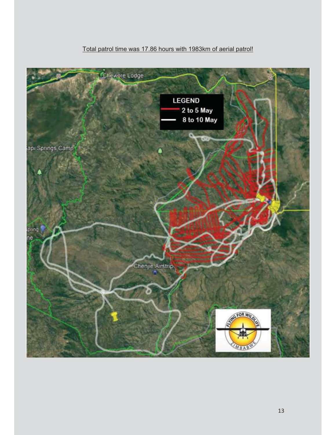## Total patrol time was 17.86 hours with 1983km of aerial patrol!

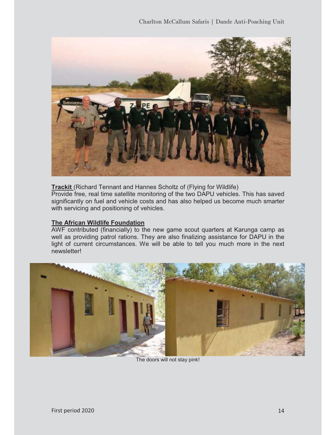

**Trackit** (Richard Tennant and Hannes Scholtz of (Flying for Wildlife) Provide free, real time satellite monitoring of the two DAPU vehicles. This has saved significantly on fuel and vehicle costs and has also helped us become much smarter with servicing and positioning of vehicles.

#### **The African Wildlife Foundation**

AWF contributed (financially) to the new game scout quarters at Karunga camp as well as providing patrol rations. They are also finalizing assistance for DAPU in the light of current circumstances. We will be able to tell you much more in the next newsletter!



The doors will not stay pink!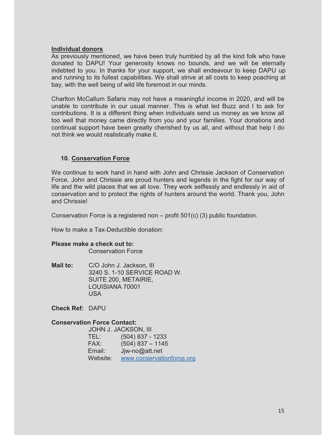#### **Individual donors**

As previously mentioned, we have been truly humbled by all the kind folk who have donated to DAPU! Your generosity knows no bounds, and we will be eternally indebted to you. In thanks for your support, we shall endeavour to keep DAPU up and running to its fullest capabilities. We shall strive at all costs to keep poaching at bay, with the well being of wild life foremost in our minds.

Charlton McCallum Safaris may not have a meaningful income in 2020, and will be unable to contribute in our usual manner. This is what led Buzz and I to ask for contributions. It is a different thing when individuals send us money as we know all too well that money came directly from you and your families. Your donations and continual support have been greatly cherished by us all, and without that help I do not think we would realistically make it.

## **10. Conservation Force**

We continue to work hand in hand with John and Chrissie Jackson of Conservation Force. John and Chrissie are proud hunters and legends in the fight for our way of life and the wild places that we all love. They work selflessly and endlessly in aid of conservation and to protect the rights of hunters around the world. Thank you, John and Chrissie!

Conservation Force is a registered non – profit 501(c) (3) public foundation.

How to make a Tax-Deductible donation:

#### **Please make a check out to:**

Conservation Force

**Mail to:** C/O John J. Jackson, III 3240 S. 1-10 SERVICE ROAD W. SUITE 200, METAIRIE, LOUISIANA 70001 USA

**Check Ref:** DAPU

#### **Conservation Force Contact:**

|          | <b>JOHN J. JACKSON, III</b> |
|----------|-----------------------------|
| TEL:     | $(504)$ 837 - 1233          |
| FAX:     | $(504)$ 837 - 1145          |
| Email:   | Jjw-no@att.net              |
| Website: | www.conservationforce.org   |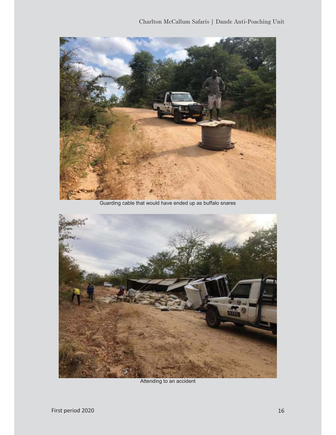

Guarding cable that would have ended up as buffalo snares



Attending to an accident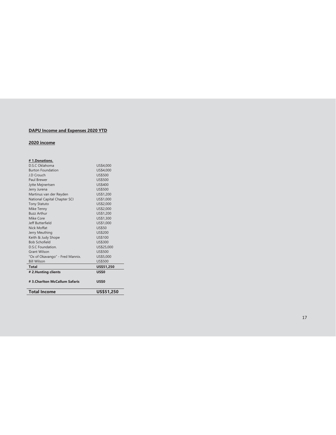#### **DAPU Income and Expenses 2020 YTD**

#### **2020 income**

| #1.Donations.                   |                |
|---------------------------------|----------------|
| D.S.C. Oklahoma                 | US\$4,000      |
| <b>Burton Foundation</b>        | US\$4,000      |
| J.D Crouch                      | <b>US\$500</b> |
| Paul Brewer                     | <b>US\$500</b> |
| Jytte Mejnertsen                | <b>US\$400</b> |
| Jerry Jurena                    | <b>US\$500</b> |
| Martinus van der Reyden         | US\$1,200      |
| National Capital Chapter SCI    | US\$1,000      |
| <b>Tony Statuto</b>             | US\$2,000      |
| Mike Tenny                      | US\$2,000      |
| <b>Buzz Arthur</b>              | US\$1,200      |
| Mike Core                       | US\$1,300      |
| Jeff Butterfield                | US\$1,000      |
| Nick Moffat                     | <b>US\$50</b>  |
| Jerry Meuthing                  | <b>US\$200</b> |
| Keith & Judy Shope              | <b>US\$100</b> |
| <b>Bob Schofield</b>            | US\$300        |
| <b>D.S.C Foundation.</b>        | US\$25,000     |
| <b>Grant Wilson</b>             | <b>US\$500</b> |
| "Ox of Okavango" - Fred Mannix. | US\$5,000      |
| <b>Bill Wilson</b>              | <b>US\$500</b> |
| <b>Total</b>                    | US\$51,250     |
| # 2. Hunting clients            | <b>US\$0</b>   |
| #3.Charlton McCallum Safaris    | <b>US\$0</b>   |
|                                 |                |
| <b>Total Income</b>             | US\$51,250     |